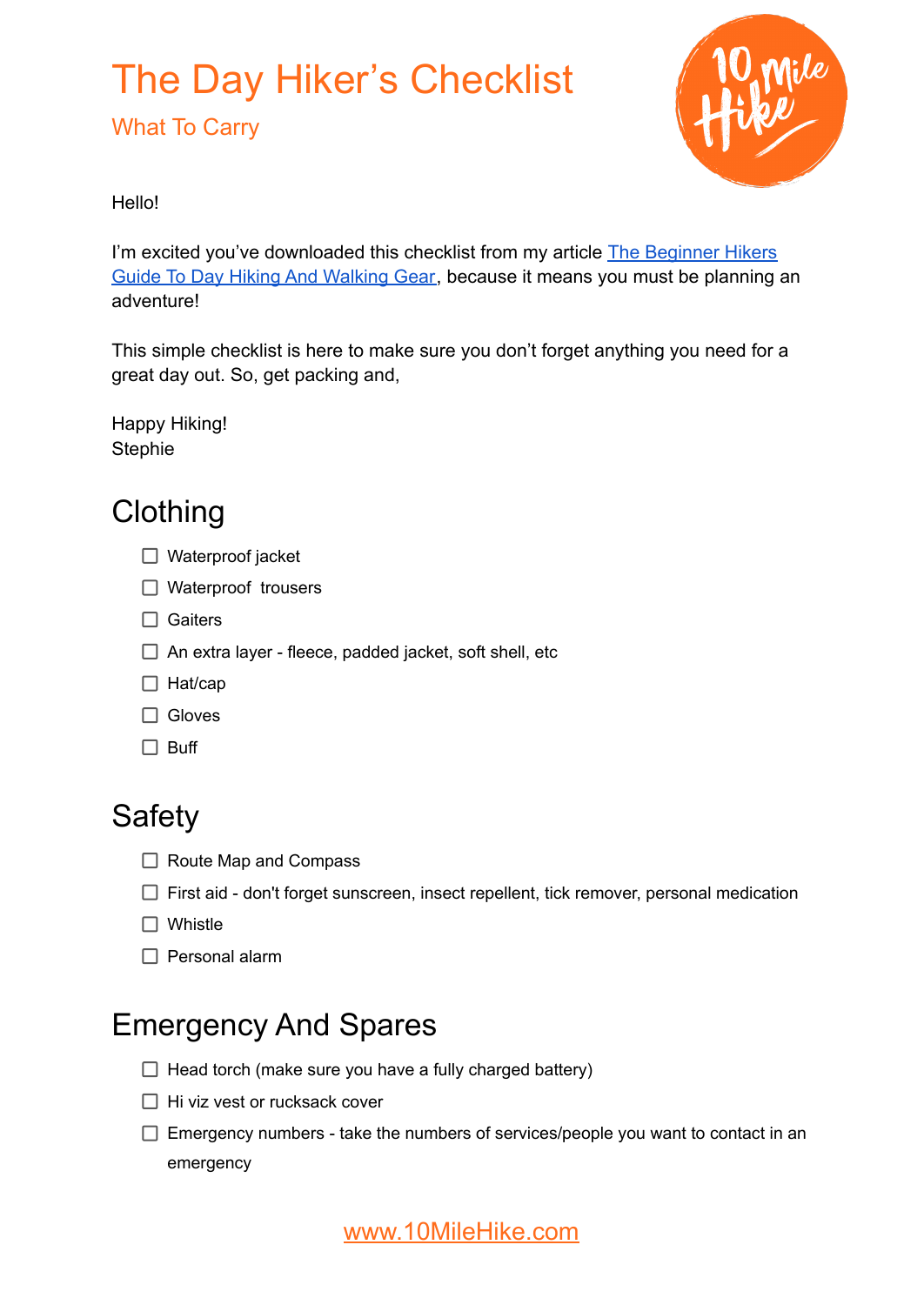## The Day Hiker's Checklist

What To Carry



Hello!

I'm excited you've downloaded this checklist from my article [The Beginner Hikers](https://www.10milehike.com/beginner-hikers-gear-guide/) [Guide To Day Hiking And Walking Gear,](https://www.10milehike.com/beginner-hikers-gear-guide/) because it means you must be planning an adventure!

This simple checklist is here to make sure you don't forget anything you need for a great day out. So, get packing and,

Happy Hiking! **Stephie** 

### **Clothing**

- □ Waterproof jacket
- □ Waterproof trousers
- □ Gaiters
- $\Box$  An extra layer fleece, padded jacket, soft shell, etc
- $\Box$  Hat/cap
- □ Gloves
- $\Box$  Buff

### **Safety**

- $\Box$  Route Map and Compass
- $\Box$  First aid don't forget sunscreen, insect repellent, tick remover, personal medication
- □ Whistle
- $\Box$  Personal alarm

### Emergency And Spares

- $\Box$  Head torch (make sure you have a fully charged battery)
- $\Box$  Hi viz vest or rucksack cover
- $\Box$  Emergency numbers take the numbers of services/people you want to contact in an emergency